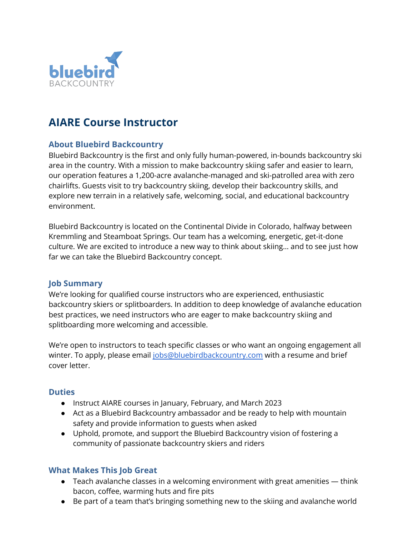

# **AIARE Course Instructor**

## **About Bluebird Backcountry**

Bluebird Backcountry is the first and only fully human-powered, in-bounds backcountry ski area in the country. With a mission to make backcountry skiing safer and easier to learn, our operation features a 1,200-acre avalanche-managed and ski-patrolled area with zero chairlifts. Guests visit to try backcountry skiing, develop their backcountry skills, and explore new terrain in a relatively safe, welcoming, social, and educational backcountry environment.

Bluebird Backcountry is located on the Continental Divide in Colorado, halfway between Kremmling and Steamboat Springs. Our team has a welcoming, energetic, get-it-done culture. We are excited to introduce a new way to think about skiing… and to see just how far we can take the Bluebird Backcountry concept.

#### **Job Summary**

We're looking for qualified course instructors who are experienced, enthusiastic backcountry skiers or splitboarders. In addition to deep knowledge of avalanche education best practices, we need instructors who are eager to make backcountry skiing and splitboarding more welcoming and accessible.

We're open to instructors to teach specific classes or who want an ongoing engagement all winter. To apply, please email [jobs@bluebirdbackcountry.com](mailto:jobs@bluebirdbackcountry.com) with a resume and brief cover letter.

#### **Duties**

- Instruct AIARE courses in January, February, and March 2023
- Act as a Bluebird Backcountry ambassador and be ready to help with mountain safety and provide information to guests when asked
- Uphold, promote, and support the Bluebird Backcountry vision of fostering a community of passionate backcountry skiers and riders

## **What Makes This Job Great**

- Teach avalanche classes in a welcoming environment with great amenities think bacon, coffee, warming huts and fire pits
- Be part of a team that's bringing something new to the skiing and avalanche world